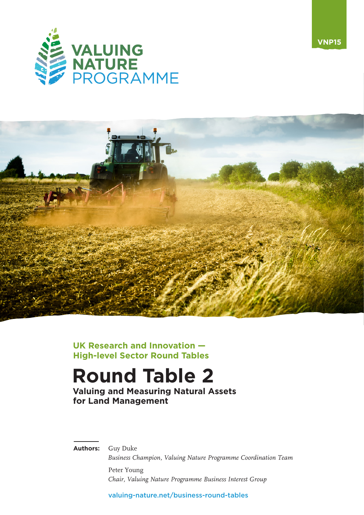



**UK Research and Innovation — High-level Sector Round Tables**

# **Round Table 2**

**Valuing and Measuring Natural Assets for Land Management**

**Authors:** Guy Duke

*Business Champion, Valuing Nature Programme Coordination Team* Peter Young

*Chair, Valuing Nature Programme Business Interest Group*

[valuing-nature.net/business-round-tables](https://valuing-nature.net/business-round-tables)

**VNP15**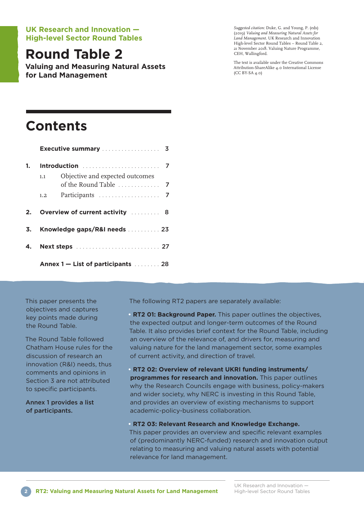## **UK Research and Innovation — High-level Sector Round Tables**

## **Round Table 2**

**Valuing and Measuring Natural Assets for Land Management**

*Suggested citation:* Duke, G. and Young, P. (eds) (20ı9) *Valuing and Measuring Natural Assets for Land Management.* UK Research and Innovation High-level Sector Round Tables – Round Table 2, 2ı November 20ı8. Valuing Nature Programme, CEH, Wallingford.

The text is available under the Creative Commons Attribution-ShareAlike 4.0 International License (CC BY-SA 4.0)

## **Contents**

|    | <b>Executive summary</b> 3   |                                    |  |  |
|----|------------------------------|------------------------------------|--|--|
| 1. |                              |                                    |  |  |
|    | 1.1                          | Objective and expected outcomes    |  |  |
|    | 1.2                          |                                    |  |  |
| 2. |                              | Overview of current activity  8    |  |  |
| 3. | Knowledge gaps/R&I needs  23 |                                    |  |  |
| 4. |                              |                                    |  |  |
|    |                              | Annex 1 – List of participants  28 |  |  |

This paper presents the objectives and captures key points made during the Round Table.

The Round Table followed Chatham House rules for the discussion of research an innovation (R&I) needs, thus comments and opinions in Section 3 are not attributed to specific participants.

Annex 1 provides a list of participants.

The following RT2 papers are separately available:

**• RT2 01: Background Paper.** This paper outlines the objectives, the expected output and longer-term outcomes of the Round Table. It also provides brief context for the Round Table, including an overview of the relevance of, and drivers for, measuring and valuing nature for the land management sector, some examples of current activity, and direction of travel.

**• RT2 02: Overview of relevant UKRI funding instruments/ programmes for research and innovation.** This paper outlines why the Research Councils engage with business, policy-makers and wider society, why NERC is investing in this Round Table, and provides an overview of existing mechanisms to support academic-policy-business collaboration.

**• RT2 03: Relevant Research and Knowledge Exchange.**

This paper provides an overview and specific relevant examples of (predominantly NERC-funded) research and innovation output relating to measuring and valuing natural assets with potential relevance for land management.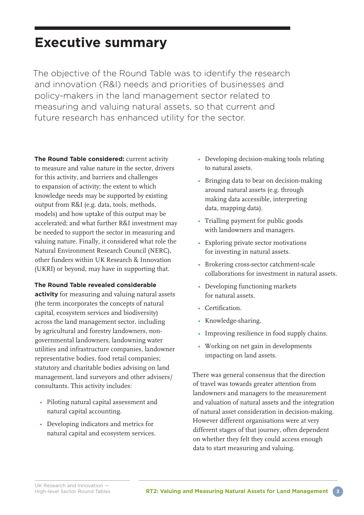## **Executive summary**

The objective of the Round Table was to identify the research and innovation (R&I) needs and priorities of businesses and policy-makers in the land management sector related to measuring and valuing natural assets, so that current and future research has enhanced utility for the sector.

**The Round Table considered:** current activity to measure and value nature in the sector, drivers for this activity, and barriers and challenges to expansion of activity; the extent to which knowledge needs may be supported by existing output from R&I (e.g. data, tools, methods, models) and how uptake of this output may be accelerated; and what further R&I investment may be needed to support the sector in measuring and valuing nature. Finally, it considered what role the Natural Environment Research Council (NERC), other funders within UK Research & Innovation (UKRI) or beyond, may have in supporting that.

## **The Round Table revealed considerable**

**activity** for measuring and valuing natural assets (the term incorporates the concepts of natural capital, ecosystem services and biodiversity) across the land management sector, including by agricultural and forestry landowners, nongovernmental landowners, landowning water utilities and infrastructure companies, landowner representative bodies, food retail companies; statutory and charitable bodies advising on land management, land surveyors and other advisers/ consultants. This activity includes:

- Piloting natural capital assessment and natural capital accounting.
- Developing indicators and metrics for natural capital and ecosystem services.
- Developing decision-making tools relating to natural assets.
- Bringing data to bear on decision-making around natural assets (e.g. through making data accessible, interpreting data, mapping data).
- Trialling payment for public goods with landowners and managers.
- Exploring private sector motivations for investing in natural assets.
- Brokering cross-sector catchment-scale collaborations for investment in natural assets.
- Developing functioning markets for natural assets.
- Certification.
- Knowledge-sharing.
- Improving resilience in food supply chains.
- Working on net gain in developments impacting on land assets.

There was general consensus that the direction of travel was towards greater attention from landowners and managers to the measurement and valuation of natural assets and the integration of natural asset consideration in decision-making. However different organisations were at very different stages of that journey, often dependent on whether they felt they could access enough data to start measuring and valuing.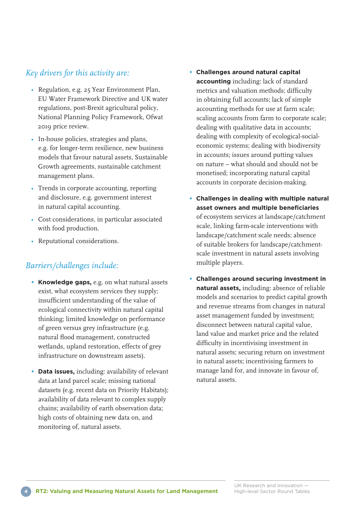## *Key drivers for this activity are:*

- Regulation, e.g. 25 Year Environment Plan, EU Water Framework Directive and UK water regulations, post-Brexit agricultural policy, National Planning Policy Framework, Ofwat 20ı9 price review.
- In-house policies, strategies and plans, e.g. for longer-term resilience, new business models that favour natural assets, Sustainable Growth agreements, sustainable catchment management plans.
- Trends in corporate accounting, reporting and disclosure, e.g. government interest in natural capital accounting.
- Cost considerations, in particular associated with food production.
- Reputational considerations.

## *Barriers/challenges include:*

- **Knowledge gaps,** e.g. on what natural assets exist, what ecosystem services they supply; insufficient understanding of the value of ecological connectivity within natural capital thinking; limited knowledge on performance of green versus grey infrastructure (e.g. natural flood management, constructed wetlands, upland restoration, effects of grey infrastructure on downstream assets).
- **Data issues,** including: availability of relevant data at land parcel scale; missing national datasets (e.g. recent data on Priority Habitats); availability of data relevant to complex supply chains; availability of earth observation data; high costs of obtaining new data on, and monitoring of, natural assets.
- **Challenges around natural capital accounting** including: lack of standard metrics and valuation methods; difficulty in obtaining full accounts; lack of simple accounting methods for use at farm scale; scaling accounts from farm to corporate scale; dealing with qualitative data in accounts; dealing with complexity of ecological-socialeconomic systems; dealing with biodiversity in accounts; issues around putting values on nature – what should and should not be monetised; incorporating natural capital accounts in corporate decision-making.
- **Challenges in dealing with multiple natural asset owners and multiple beneficiaries** of ecosystem services at landscape/catchment scale, linking farm-scale interventions with landscape/catchment scale needs; absence of suitable brokers for landscape/catchmentscale investment in natural assets involving multiple players.
- **Challenges around securing investment in natural assets,** including: absence of reliable models and scenarios to predict capital growth and revenue streams from changes in natural asset management funded by investment; disconnect between natural capital value, land value and market price and the related difficulty in incentivising investment in natural assets; securing return on investment in natural assets; incentivising farmers to manage land for, and innovate in favour of, natural assets.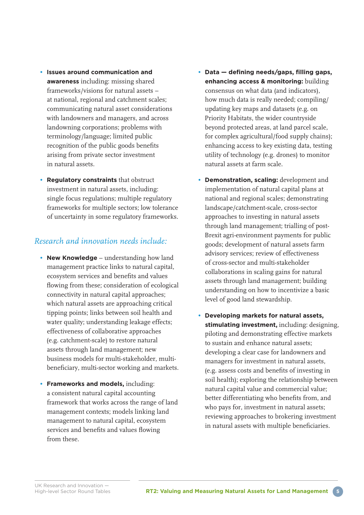- **Issues around communication and awareness** including: missing shared frameworks/visions for natural assets – at national, regional and catchment scales; communicating natural asset considerations with landowners and managers, and across landowning corporations; problems with terminology/language; limited public recognition of the public goods benefits arising from private sector investment in natural assets.
- **Regulatory constraints** that obstruct investment in natural assets, including: single focus regulations; multiple regulatory frameworks for multiple sectors; low tolerance of uncertainty in some regulatory frameworks.

## *Research and innovation needs include:*

- **New Knowledge** understanding how land management practice links to natural capital, ecosystem services and benefits and values flowing from these; consideration of ecological connectivity in natural capital approaches; which natural assets are approaching critical tipping points; links between soil health and water quality; understanding leakage effects; effectiveness of collaborative approaches (e.g. catchment-scale) to restore natural assets through land management; new business models for multi-stakeholder, multibeneficiary, multi-sector working and markets.
- **Frameworks and models,** including: a consistent natural capital accounting framework that works across the range of land management contexts; models linking land management to natural capital, ecosystem services and benefits and values flowing from these.
- **Data defining needs/gaps, filling gaps, enhancing access & monitoring:** building consensus on what data (and indicators), how much data is really needed; compiling/ updating key maps and datasets (e.g. on Priority Habitats, the wider countryside beyond protected areas, at land parcel scale, for complex agricultural/food supply chains); enhancing access to key existing data, testing utility of technology (e.g. drones) to monitor natural assets at farm scale.
- **Demonstration, scaling:** development and implementation of natural capital plans at national and regional scales; demonstrating landscape/catchment-scale, cross-sector approaches to investing in natural assets through land management; trialling of post-Brexit agri-environment payments for public goods; development of natural assets farm advisory services; review of effectiveness of cross-sector and multi-stakeholder collaborations in scaling gains for natural assets through land management; building understanding on how to incentivize a basic level of good land stewardship.
- **Developing markets for natural assets, stimulating investment,** including: designing, piloting and demonstrating effective markets to sustain and enhance natural assets; developing a clear case for landowners and managers for investment in natural assets, (e.g. assess costs and benefits of investing in soil health); exploring the relationship between natural capital value and commercial value; better differentiating who benefits from, and who pays for, investment in natural assets; reviewing approaches to brokering investment in natural assets with multiple beneficiaries.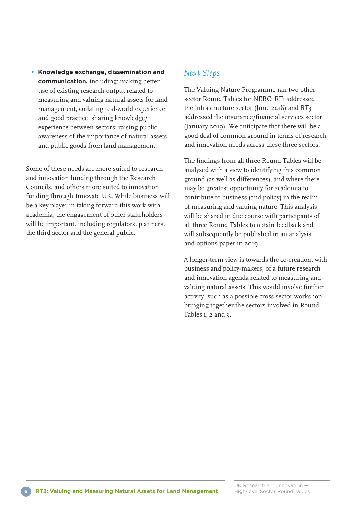**• Knowledge exchange, dissemination and communication,** including: making better use of existing research output related to measuring and valuing natural assets for land management; collating real-world experience and good practice; sharing knowledge/ experience between sectors; raising public awareness of the importance of natural assets and public goods from land management.

Some of these needs are more suited to research and innovation funding through the Research Councils, and others more suited to innovation funding through Innovate UK. While business will be a key player in taking forward this work with academia, the engagement of other stakeholders will be important, including regulators, planners, the third sector and the general public.

## *Next Steps*

The Valuing Nature Programme ran two other sector Round Tables for NERC: RTı addressed the infrastructure sector (June 20ı8) and RT3 addressed the insurance/financial services sector (January 20ı9). We anticipate that there will be a good deal of common ground in terms of research and innovation needs across these three sectors.

The findings from all three Round Tables will be analysed with a view to identifying this common ground (as well as differences), and where there may be greatest opportunity for academia to contribute to business (and policy) in the realm of measuring and valuing nature. This analysis will be shared in due course with participants of all three Round Tables to obtain feedback and will subsequently be published in an analysis and options paper in 20ı9.

A longer-term view is towards the co-creation, with business and policy-makers, of a future research and innovation agenda related to measuring and valuing natural assets. This would involve further activity, such as a possible cross sector workshop bringing together the sectors involved in Round Tables 1, 2 and 3.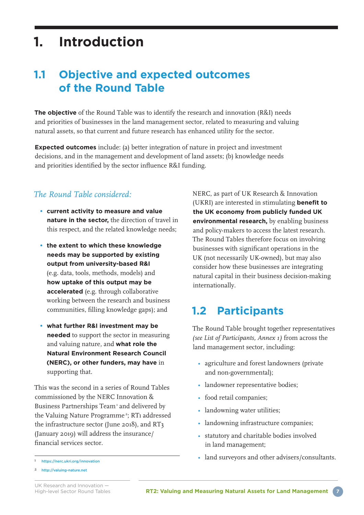## **1. Introduction**

## **1.1 Objective and expected outcomes of the Round Table**

**The objective** of the Round Table was to identify the research and innovation (R&I) needs and priorities of businesses in the land management sector, related to measuring and valuing natural assets, so that current and future research has enhanced utility for the sector.

**Expected outcomes** include: (a) better integration of nature in project and investment decisions, and in the management and development of land assets; (b) knowledge needs and priorities identified by the sector influence R&I funding.

## *The Round Table considered:*

- **current activity to measure and value nature in the sector,** the direction of travel in this respect, and the related knowledge needs;
- **the extent to which these knowledge needs may be supported by existing output from university-based R&I** (e.g. data, tools, methods, models) and **how uptake of this output may be accelerated** (e.g. through collaborative working between the research and business communities, filling knowledge gaps); and
- **what further R&I investment may be needed** to support the sector in measuring and valuing nature, and **what role the Natural Environment Research Council (NERC), or other funders, may have** in supporting that.

This was the second in a series of Round Tables commissioned by the NERC Innovation & Business Partnerships Team<sup>1</sup> and delivered by the Valuing Nature Programme<sup>2</sup>; RT1 addressed the infrastructure sector (June 20ı8), and RT3 (January 20ı9) will address the insurance/ financial services sector.

NERC, as part of UK Research & Innovation (UKRI) are interested in stimulating **benefit to the UK economy from publicly funded UK environmental research,** by enabling business and policy-makers to access the latest research. The Round Tables therefore focus on involving businesses with significant operations in the UK (not necessarily UK-owned), but may also consider how these businesses are integrating natural capital in their business decision-making internationally.

## **1.2 Participants**

The Round Table brought together representatives *(see List of Participants, Annex 1)* from across the land management sector, including:

- agriculture and forest landowners (private and non-governmental);
- landowner representative bodies;
- food retail companies;
- landowning water utilities;
- landowning infrastructure companies;
- statutory and charitable bodies involved in land management;
- land surveyors and other advisers/consultants.

ı <https://nerc.ukri.org/innovation>

<sup>2</sup> <http://valuing-nature.net>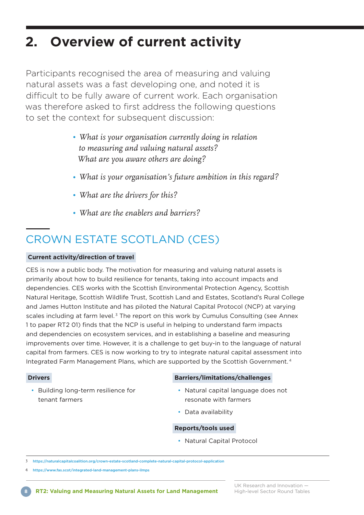## **2. Overview of current activity**

Participants recognised the area of measuring and valuing natural assets was a fast developing one, and noted it is difficult to be fully aware of current work. Each organisation was therefore asked to first address the following questions to set the context for subsequent discussion:

- *What is your organisation currently doing in relation to measuring and valuing natural assets? What are you aware others are doing?*
- *• What is your organisation's future ambition in this regard?*
- *• What are the drivers for this?*
- *• What are the enablers and barriers?*

## CROWN ESTATE SCOTLAND (CES)

## **Current activity/direction of travel**

CES is now a public body. The motivation for measuring and valuing natural assets is primarily about how to build resilience for tenants, taking into account impacts and dependencies. CES works with the Scottish Environmental Protection Agency, Scottish Natural Heritage, Scottish Wildlife Trust, Scottish Land and Estates, Scotland's Rural College and James Hutton Institute and has piloted the Natural Capital Protocol (NCP) at varying scales including at farm level. $3$  The report on this work by Cumulus Consulting (see Annex 1 to paper RT2 01) finds that the NCP is useful in helping to understand farm impacts and dependencies on ecosystem services, and in establishing a baseline and measuring improvements over time. However, it is a challenge to get buy-in to the language of natural capital from farmers. CES is now working to try to integrate natural capital assessment into Integrated Farm Management Plans, which are supported by the Scottish Government. <sup>4</sup>

## **Drivers**

• Building long-term resilience for tenant farmers

## **Barriers/limitations/challenges**

- Natural capital language does not resonate with farmers
- Data availability

### **Reports/tools used**

• Natural Capital Protocol

[https://naturalcapitalcoalition.org/crown-estate-scotland-complete-natural-capital-protocol-application](https://naturalcapitalcoalition.org/crown-estate-scotland-complete-natural-capital-protocol-applicat)

4 <https://www.fas.scot/integrated-land-management-plans-ilmps>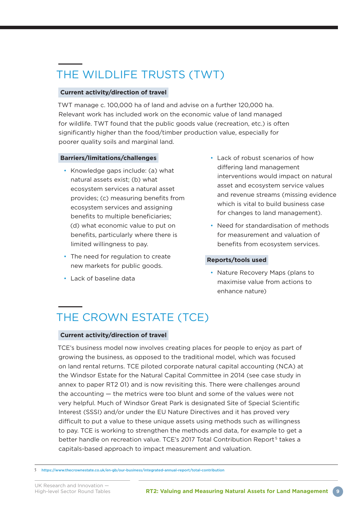## THE WILDLIFE TRUSTS (TWT)

## **Current activity/direction of travel**

TWT manage c. 100,000 ha of land and advise on a further 120,000 ha. Relevant work has included work on the economic value of land managed for wildlife. TWT found that the public goods value (recreation, etc.) is often significantly higher than the food/timber production value, especially for poorer quality soils and marginal land.

## **Barriers/limitations/challenges**

- Knowledge gaps include: (a) what natural assets exist; (b) what ecosystem services a natural asset provides; (c) measuring benefits from ecosystem services and assigning benefits to multiple beneficiaries; (d) what economic value to put on benefits, particularly where there is limited willingness to pay.
- The need for regulation to create new markets for public goods.
- Lack of baseline data
- Lack of robust scenarios of how differing land management interventions would impact on natural asset and ecosystem service values and revenue streams (missing evidence which is vital to build business case for changes to land management).
- Need for standardisation of methods for measurement and valuation of benefits from ecosystem services.

## **Reports/tools used**

• Nature Recovery Maps (plans to maximise value from actions to enhance nature)

## THE CROWN ESTATE (TCE)

## **Current activity/direction of travel**

TCE's business model now involves creating places for people to enjoy as part of growing the business, as opposed to the traditional model, which was focused on land rental returns. TCE piloted corporate natural capital accounting (NCA) at the Windsor Estate for the Natural Capital Committee in 2014 (see case study in annex to paper RT2 01) and is now revisiting this. There were challenges around the accounting — the metrics were too blunt and some of the values were not very helpful. Much of Windsor Great Park is designated Site of Special Scientific Interest (SSSI) and/or under the EU Nature Directives and it has proved very difficult to put a value to these unique assets using methods such as willingness to pay. TCE is working to strengthen the methods and data, for example to get a better handle on recreation value. TCE's 2017 Total Contribution Report 5 takes a capitals-based approach to impact measurement and valuation.

5 <https://www.thecrownestate.co.uk/en-gb/our-business/integrated-annual-report/total-contribution>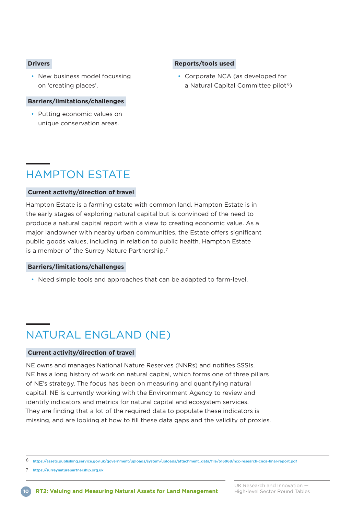### **Drivers**

• New business model focussing on 'creating places'.

### **Barriers/limitations/challenges**

• Putting economic values on unique conservation areas.

## **Reports/tools used**

• Corporate NCA (as developed for a Natural Capital Committee pilot<sup>6</sup>)

## HAMPTON ESTATE

### **Current activity/direction of travel**

Hampton Estate is a farming estate with common land. Hampton Estate is in the early stages of exploring natural capital but is convinced of the need to produce a natural capital report with a view to creating economic value. As a major landowner with nearby urban communities, the Estate offers significant public goods values, including in relation to public health. Hampton Estate is a member of the Surrey Nature Partnership. <sup>7</sup>

### **Barriers/limitations/challenges**

• Need simple tools and approaches that can be adapted to farm-level.

## NATURAL ENGLAND (NE)

### **Current activity/direction of travel**

NE owns and manages National Nature Reserves (NNRs) and notifies SSSIs. NE has a long history of work on natural capital, which forms one of three pillars of NE's strategy. The focus has been on measuring and quantifying natural capital. NE is currently working with the Environment Agency to review and identify indicators and metrics for natural capital and ecosystem services. They are finding that a lot of the required data to populate these indicators is missing, and are looking at how to fill these data gaps and the validity of proxies.

6 [https://assets.publishing.service.gov.uk/government/uploads/system/uploads/attachment\\_data/file/516968/ncc-research-cnca-final-report.pdf](https://assets.publishing.service.gov.uk/government/uploads/system/uploads/attachment_data/file/516968/ncc-research-cnca-final-report.pdf)

7 <https://surreynaturepartnership.org.uk>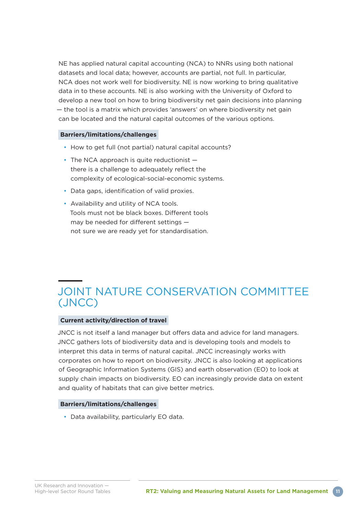NE has applied natural capital accounting (NCA) to NNRs using both national datasets and local data; however, accounts are partial, not full. In particular, NCA does not work well for biodiversity. NE is now working to bring qualitative data in to these accounts. NE is also working with the University of Oxford to develop a new tool on how to bring biodiversity net gain decisions into planning — the tool is a matrix which provides 'answers' on where biodiversity net gain can be located and the natural capital outcomes of the various options.

## **Barriers/limitations/challenges**

- How to get full (not partial) natural capital accounts?
- $\cdot$  The NCA approach is quite reductionist  $$ there is a challenge to adequately reflect the complexity of ecological-social-economic systems.
- Data gaps, identification of valid proxies.
- Availability and utility of NCA tools. Tools must not be black boxes. Different tools may be needed for different settings not sure we are ready yet for standardisation.

## JOINT NATURE CONSERVATION COMMITTEE (JNCC)

### **Current activity/direction of travel**

JNCC is not itself a land manager but offers data and advice for land managers. JNCC gathers lots of biodiversity data and is developing tools and models to interpret this data in terms of natural capital. JNCC increasingly works with corporates on how to report on biodiversity. JNCC is also looking at applications of Geographic Information Systems (GIS) and earth observation (EO) to look at supply chain impacts on biodiversity. EO can increasingly provide data on extent and quality of habitats that can give better metrics.

### **Barriers/limitations/challenges**

• Data availability, particularly EO data.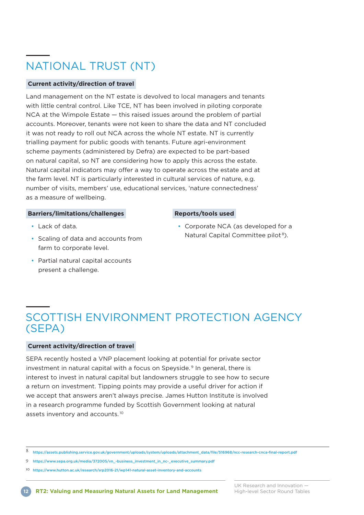## NATIONAL TRUST (NT)

### **Current activity/direction of travel**

Land management on the NT estate is devolved to local managers and tenants with little central control. Like TCE, NT has been involved in piloting corporate NCA at the Wimpole Estate — this raised issues around the problem of partial accounts. Moreover, tenants were not keen to share the data and NT concluded it was not ready to roll out NCA across the whole NT estate. NT is currently trialling payment for public goods with tenants. Future agri-environment scheme payments (administered by Defra) are expected to be part-based on natural capital, so NT are considering how to apply this across the estate. Natural capital indicators may offer a way to operate across the estate and at the farm level. NT is particularly interested in cultural services of nature, e.g. number of visits, members' use, educational services, 'nature connectedness' as a measure of wellbeing.

#### **Barriers/limitations/challenges**

- Lack of data.
- Scaling of data and accounts from farm to corporate level.
- Partial natural capital accounts present a challenge.

### **Reports/tools used**

• Corporate NCA (as developed for a Natural Capital Committee pilot<sup>8</sup>).

## SCOTTISH ENVIRONMENT PROTECTION AGENCY (SEPA)

#### **Current activity/direction of travel**

SEPA recently hosted a VNP placement looking at potential for private sector investment in natural capital with a focus on Speyside. 9 In general, there is interest to invest in natural capital but landowners struggle to see how to secure a return on investment. Tipping points may provide a useful driver for action if we accept that answers aren't always precise. James Hutton Institute is involved in a research programme funded by Scottish Government looking at natural assets inventory and accounts. <sup>10</sup>

9 [https://www.sepa.org.uk/media/372005/vn\\_-business\\_investment\\_in\\_nc-\\_executive\\_summary.pdf](https://www.sepa.org.uk/media/372005/vn_-business_investment_in_nc-_executive_summary.pdf)

UK Research and Innovation —

<sup>8</sup> [https://assets.publishing.service.gov.uk/government/uploads/system/uploads/attachment\\_data/file/516968/ncc-research-cnca-final-report.pdf](https://assets.publishing.service.gov.uk/government/uploads/system/uploads/attachment_data/file/516968/ncc-research-cnca-final-report.pdf)

ı0 <https://www.hutton.ac.uk/research/srp2016-21/wp141-natural-asset-inventory-and-accounts>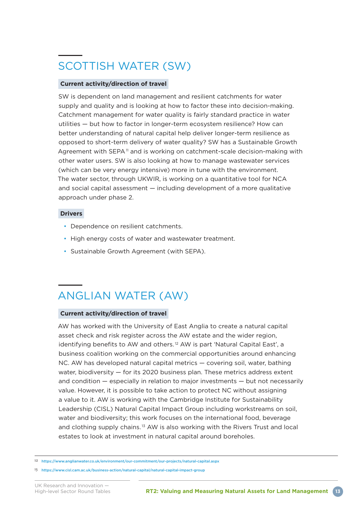## SCOTTISH WATER (SW)

## **Current activity/direction of travel**

SW is dependent on land management and resilient catchments for water supply and quality and is looking at how to factor these into decision-making. Catchment management for water quality is fairly standard practice in water utilities — but how to factor in longer-term ecosystem resilience? How can better understanding of natural capital help deliver longer-term resilience as opposed to short-term delivery of water quality? SW has a Sustainable Growth Agreement with SEPA<sup>11</sup> and is working on catchment-scale decision-making with other water users. SW is also looking at how to manage wastewater services (which can be very energy intensive) more in tune with the environment. The water sector, through UKWIR, is working on a quantitative tool for NCA and social capital assessment — including development of a more qualitative approach under phase 2.

### **Drivers**

- Dependence on resilient catchments.
- High energy costs of water and wastewater treatment.
- Sustainable Growth Agreement (with SEPA).

## ANGLIAN WATER (AW)

### **Current activity/direction of travel**

AW has worked with the University of East Anglia to create a natural capital asset check and risk register across the AW estate and the wider region, identifying benefits to AW and others.<sup>12</sup> AW is part 'Natural Capital East', a business coalition working on the commercial opportunities around enhancing NC. AW has developed natural capital metrics — covering soil, water, bathing water, biodiversity — for its 2020 business plan. These metrics address extent and condition — especially in relation to major investments — but not necessarily value. However, it is possible to take action to protect NC without assigning a value to it. AW is working with the Cambridge Institute for Sustainability Leadership (CISL) Natural Capital Impact Group including workstreams on soil, water and biodiversity; this work focuses on the international food, beverage and clothing supply chains. 13 AW is also working with the Rivers Trust and local estates to look at investment in natural capital around boreholes.

ı2 <https://www.anglianwater.co.uk/environment/our-commitment/our-projects/natural-capital.aspx>

ı3 <https://www.cisl.cam.ac.uk/business-action/natural-capital/natural-capital-impact-group>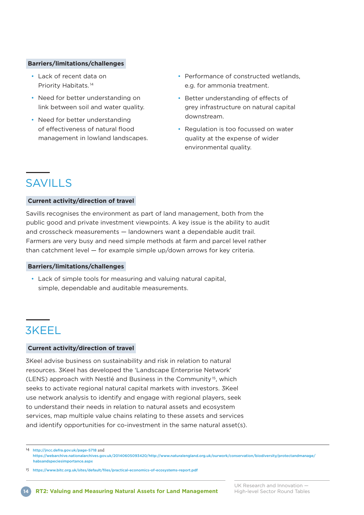#### **Barriers/limitations/challenges**

- Lack of recent data on Priority Habitats. <sup>14</sup>
- Need for better understanding on link between soil and water quality.
- Need for better understanding of effectiveness of natural flood management in lowland landscapes.
- Performance of constructed wetlands, e.g. for ammonia treatment.
- Better understanding of effects of grey infrastructure on natural capital downstream.
- Regulation is too focussed on water quality at the expense of wider environmental quality.

## SAVILLS

### **Current activity/direction of travel**

Savills recognises the environment as part of land management, both from the public good and private investment viewpoints. A key issue is the ability to audit and crosscheck measurements — landowners want a dependable audit trail. Farmers are very busy and need simple methods at farm and parcel level rather than catchment level — for example simple up/down arrows for key criteria.

### **Barriers/limitations/challenges**

• Lack of simple tools for measuring and valuing natural capital, simple, dependable and auditable measurements.

## 3KEEL

### **Current activity/direction of travel**

3Keel advise business on sustainability and risk in relation to natural resources. 3Keel has developed the 'Landscape Enterprise Network' (LENS) approach with Nestlé and Business in the Community<sup>15</sup>, which seeks to activate regional natural capital markets with investors. 3Keel use network analysis to identify and engage with regional players, seek to understand their needs in relation to natural assets and ecosystem services, map multiple value chains relating to these assets and services and identify opportunities for co-investment in the same natural asset(s).

ı4 <http://jncc.defra.gov.uk/page-5718> and [https://webarchive.nationalarchives.gov.uk/20140605093420/http://www.naturalengland.org.uk/ourwork/conservation/biodiversity/protectandmanage/](https://webarchive.nationalarchives.gov.uk/20140605093420/http://www.naturalengland.org.uk/ourwork/conservation/biodiversity/protectandmanage/habsandspeciesimportance.aspx) [habsandspeciesimportance.aspx](https://webarchive.nationalarchives.gov.uk/20140605093420/http://www.naturalengland.org.uk/ourwork/conservation/biodiversity/protectandmanage/habsandspeciesimportance.aspx)

ı5 <https://www.bitc.org.uk/sites/default/files/practical-economics-of-ecosystems-report.pdf>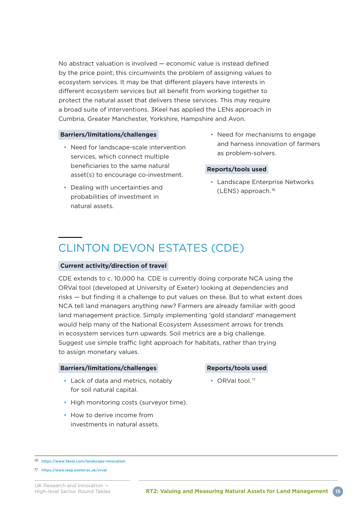No abstract valuation is involved — economic value is instead defined by the price point; this circumvents the problem of assigning values to ecosystem services. It may be that different players have interests in different ecosystem services but all benefit from working together to protect the natural asset that delivers these services. This may require a broad suite of interventions. 3Keel has applied the LENs approach in Cumbria, Greater Manchester, Yorkshire, Hampshire and Avon.

### **Barriers/limitations/challenges**

- Need for landscape-scale intervention services, which connect multiple beneficiaries to the same natural asset(s) to encourage co-investment.
- Dealing with uncertainties and probabilities of investment in natural assets.
- Need for mechanisms to engage and harness innovation of farmers as problem-solvers.

### **Reports/tools used**

• Landscape Enterprise Networks (LENS) approach. <sup>16</sup>

## CLINTON DEVON ESTATES (CDE)

### **Current activity/direction of travel**

CDE extends to c. 10,000 ha. CDE is currently doing corporate NCA using the ORVal tool (developed at University of Exeter) looking at dependencies and risks — but finding it a challenge to put values on these. But to what extent does NCA tell land managers anything new? Farmers are already familiar with good land management practice. Simply implementing 'gold standard' management would help many of the National Ecosystem Assessment arrows for trends in ecosystem services turn upwards. Soil metrics are a big challenge. Suggest use simple traffic light approach for habitats, rather than trying to assign monetary values.

### **Barriers/limitations/challenges**

- Lack of data and metrics, notably for soil natural capital.
- High monitoring costs (surveyor time).
- How to derive income from investments in natural assets.

## **Reports/tools used**

• ORVal tool.<sup>17</sup>

ı6 <https://www.3keel.com/landscape-innovation>

ı7 <https://www.leep.exeter.ac.uk/orval>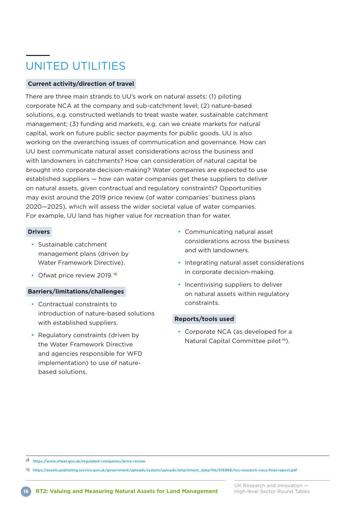## UNITED UTILITIES

### **Current activity/direction of travel**

There are three main strands to UU's work on natural assets: (1) piloting corporate NCA at the company and sub-catchment level; (2) nature-based solutions, e.g. constructed wetlands to treat waste water, sustainable catchment management; (3) funding and markets, e.g. can we create markets for natural capital, work on future public sector payments for public goods. UU is also working on the overarching issues of communication and governance. How can UU best communicate natural asset considerations across the business and with landowners in catchments? How can consideration of natural capital be brought into corporate decision-making? Water companies are expected to use established suppliers — how can water companies get these suppliers to deliver on natural assets, given contractual and regulatory constraints? Opportunities may exist around the 2019 price review (of water companies' business plans 2020—2025), which will assess the wider societal value of water companies. For example, UU land has higher value for recreation than for water.

### **Drivers**

- Sustainable catchment management plans (driven by Water Framework Directive).
- Ofwat price review 2019.<sup>18</sup>

### **Barriers/limitations/challenges**

- Contractual constraints to introduction of nature-based solutions with established suppliers.
- Regulatory constraints (driven by the Water Framework Directive and agencies responsible for WFD implementation) to use of naturebased solutions.
- Communicating natural asset considerations across the business and with landowners.
- Integrating natural asset considerations in corporate decision-making.
- Incentivising suppliers to deliver on natural assets within regulatory constraints.

### **Reports/tools used**

• Corporate NCA (as developed for a Natural Capital Committee pilot 19).

ı8 <https://www.ofwat.gov.uk/regulated-companies/price-review>

ı9 [https://assets.publishing.service.gov.uk/government/uploads/system/uploads/attachment\\_data/file/516968/ncc-research-cnca-final-report.pdf](https://assets.publishing.service.gov.uk/government/uploads/system/uploads/attachment_data/file/516968/ncc-research-cnca-final-report.pdf)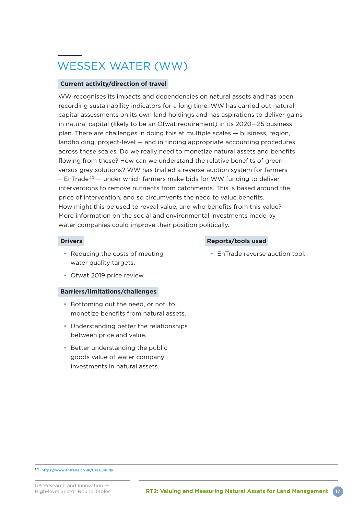## WESSEX WATER (WW)

### **Current activity/direction of travel**

WW recognises its impacts and dependencies on natural assets and has been recording sustainability indicators for a long time. WW has carried out natural capital assessments on its own land holdings and has aspirations to deliver gains in natural capital (likely to be an Ofwat requirement) in its 2020—25 business plan. There are challenges in doing this at multiple scales — business, region, landholding, project-level — and in finding appropriate accounting procedures across these scales. Do we really need to monetize natural assets and benefits flowing from these? How can we understand the relative benefits of green versus grey solutions? WW has trialled a reverse auction system for farmers  $-$  EnTrade<sup>20</sup>  $-$  under which farmers make bids for WW funding to deliver interventions to remove nutrients from catchments. This is based around the price of intervention, and so circumvents the need to value benefits. How might this be used to reveal value, and who benefits from this value? More information on the social and environmental investments made by water companies could improve their position politically.

### **Drivers**

- Reducing the costs of meeting water quality targets.
- Ofwat 2019 price review.

### **Barriers/limitations/challenges**

- Bottoming out the need, or not, to monetize benefits from natural assets.
- Understanding better the relationships between price and value.
- Better understanding the public goods value of water company investments in natural assets.

### **Reports/tools used**

• EnTrade reverse auction tool.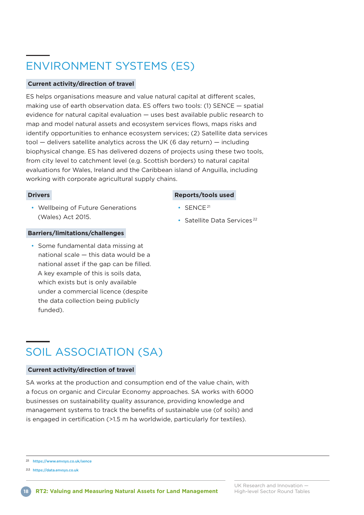## ENVIRONMENT SYSTEMS (ES)

## **Current activity/direction of travel**

ES helps organisations measure and value natural capital at different scales, making use of earth observation data. ES offers two tools: (1) SENCE — spatial evidence for natural capital evaluation — uses best available public research to map and model natural assets and ecosystem services flows, maps risks and identify opportunities to enhance ecosystem services; (2) Satellite data services tool — delivers satellite analytics across the UK (6 day return) — including biophysical change. ES has delivered dozens of projects using these two tools, from city level to catchment level (e.g. Scottish borders) to natural capital evaluations for Wales, Ireland and the Caribbean island of Anguilla, including working with corporate agricultural supply chains.

### **Drivers**

• Wellbeing of Future Generations (Wales) Act 2015.

### **Barriers/limitations/challenges**

• Some fundamental data missing at national scale — this data would be a national asset if the gap can be filled. A key example of this is soils data, which exists but is only available under a commercial licence (despite the data collection being publicly funded).

## SOIL ASSOCIATION (SA)

### **Current activity/direction of travel**

SA works at the production and consumption end of the value chain, with a focus on organic and Circular Economy approaches. SA works with 6000 businesses on sustainability quality assurance, providing knowledge and management systems to track the benefits of sustainable use (of soils) and is engaged in certification (>1.5 m ha worldwide, particularly for textiles).

2ı <https://www.envsys.co.uk/sence>

22 <https://data.envsys.co.uk>

## **Reports/tools used**

- SENCE<sup>21</sup>
- Satellite Data Services <sup>22</sup>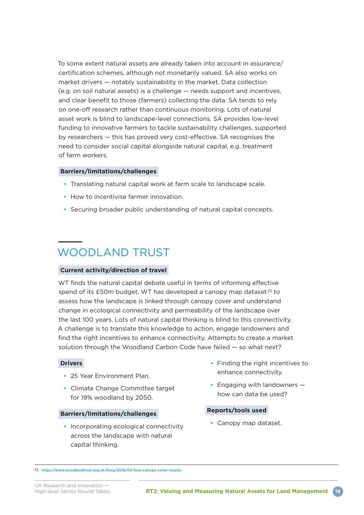To some extent natural assets are already taken into account in assurance/ certification schemes, although not monetarily valued. SA also works on market drivers — notably sustainability in the market. Data collection (e.g. on soil natural assets) is a challenge — needs support and incentives, and clear benefit to those (farmers) collecting the data. SA tends to rely on one-off research rather than continuous monitoring. Lots of natural asset work is blind to landscape-level connections. SA provides low-level funding to innovative farmers to tackle sustainability challenges, supported by researchers — this has proved very cost-effective. SA recognises the need to consider social capital alongside natural capital, e.g. treatment of farm workers.

### **Barriers/limitations/challenges**

- Translating natural capital work at farm scale to landscape scale.
- How to incentivise farmer innovation.
- Securing broader public understanding of natural capital concepts.

## WOODLAND TRUST

#### **Current activity/direction of travel**

WT finds the natural capital debate useful in terms of informing effective spend of its  $£50m$  budget. WT has developed a canopy map dataset $23$  to assess how the landscape is linked through canopy cover and understand change in ecological connectivity and permeability of the landscape over the last 100 years. Lots of natural capital thinking is blind to this connectivity. A challenge is to translate this knowledge to action, engage landowners and find the right incentives to enhance connectivity. Attempts to create a market solution through the Woodland Carbon Code have failed — so what next?

#### **Drivers**

- 25 Year Environment Plan.
- Climate Change Committee target for 19% woodland by 2050.

#### **Barriers/limitations/challenges**

• Incorporating ecological connectivity across the landscape with natural capital thinking.

- Finding the right incentives to enhance connectivity.
- Engaging with landowners how can data be used?

#### **Reports/tools used**

• Canopy map dataset.

<sup>23</sup> <https://www.woodlandtrust.org.uk/blog/2018/03/tree-canopy-cover-results>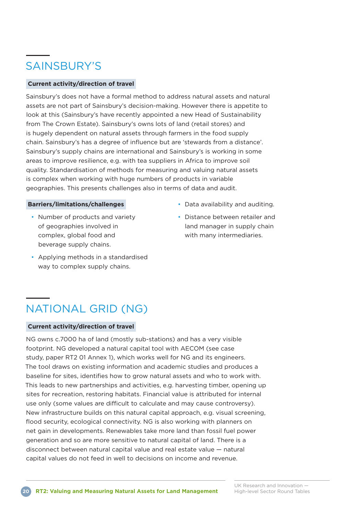## SAINSBURY'S

## **Current activity/direction of travel**

Sainsbury's does not have a formal method to address natural assets and natural assets are not part of Sainsbury's decision-making. However there is appetite to look at this (Sainsbury's have recently appointed a new Head of Sustainability from The Crown Estate). Sainsbury's owns lots of land (retail stores) and is hugely dependent on natural assets through farmers in the food supply chain. Sainsbury's has a degree of influence but are 'stewards from a distance'. Sainsbury's supply chains are international and Sainsbury's is working in some areas to improve resilience, e.g. with tea suppliers in Africa to improve soil quality. Standardisation of methods for measuring and valuing natural assets is complex when working with huge numbers of products in variable geographies. This presents challenges also in terms of data and audit.

### **Barriers/limitations/challenges**

- Number of products and variety of geographies involved in complex, global food and beverage supply chains.
- Applying methods in a standardised way to complex supply chains.
- Data availability and auditing.
- Distance between retailer and land manager in supply chain with many intermediaries.

## NATIONAL GRID (NG)

### **Current activity/direction of travel**

NG owns c.7000 ha of land (mostly sub-stations) and has a very visible footprint. NG developed a natural capital tool with AECOM (see case study, paper RT2 01 Annex 1), which works well for NG and its engineers. The tool draws on existing information and academic studies and produces a baseline for sites, identifies how to grow natural assets and who to work with. This leads to new partnerships and activities, e.g. harvesting timber, opening up sites for recreation, restoring habitats. Financial value is attributed for internal use only (some values are difficult to calculate and may cause controversy). New infrastructure builds on this natural capital approach, e.g. visual screening, flood security, ecological connectivity. NG is also working with planners on net gain in developments. Renewables take more land than fossil fuel power generation and so are more sensitive to natural capital of land. There is a disconnect between natural capital value and real estate value — natural capital values do not feed in well to decisions on income and revenue.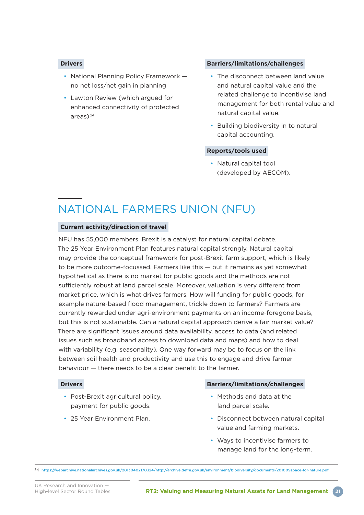## **Drivers**

- National Planning Policy Framework no net loss/net gain in planning
- Lawton Review (which argued for enhanced connectivity of protected areas) $^{24}$

#### **Barriers/limitations/challenges**

- The disconnect between land value and natural capital value and the related challenge to incentivise land management for both rental value and natural capital value.
- Building biodiversity in to natural capital accounting.

### **Reports/tools used**

• Natural capital tool (developed by AECOM).

## NATIONAL FARMERS UNION (NFU)

### **Current activity/direction of travel**

NFU has 55,000 members. Brexit is a catalyst for natural capital debate. The 25 Year Environment Plan features natural capital strongly. Natural capital may provide the conceptual framework for post-Brexit farm support, which is likely to be more outcome-focussed. Farmers like this — but it remains as yet somewhat hypothetical as there is no market for public goods and the methods are not sufficiently robust at land parcel scale. Moreover, valuation is very different from market price, which is what drives farmers. How will funding for public goods, for example nature-based flood management, trickle down to farmers? Farmers are currently rewarded under agri-environment payments on an income-foregone basis, but this is not sustainable. Can a natural capital approach derive a fair market value? There are significant issues around data availability, access to data (and related issues such as broadband access to download data and maps) and how to deal with variability (e.g. seasonality). One way forward may be to focus on the link between soil health and productivity and use this to engage and drive farmer behaviour — there needs to be a clear benefit to the farmer.

#### **Drivers**

- Post-Brexit agricultural policy, payment for public goods.
- 25 Year Environment Plan.

#### **Barriers/limitations/challenges**

- Methods and data at the land parcel scale.
- Disconnect between natural capital value and farming markets.
- Ways to incentivise farmers to manage land for the long-term.

24 <https://webarchive.nationalarchives.gov.uk/20130402170324/http://archive.defra.gov.uk/environment/biodiversity/documents/201009space-for-nature.pdf>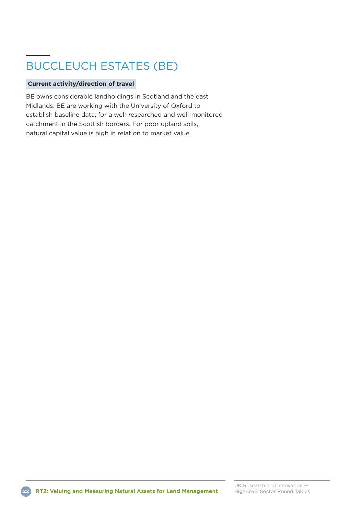## BUCCLEUCH ESTATES (BE)

## **Current activity/direction of travel**

BE owns considerable landholdings in Scotland and the east Midlands. BE are working with the University of Oxford to establish baseline data, for a well-researched and well-monitored catchment in the Scottish borders. For poor upland soils, natural capital value is high in relation to market value.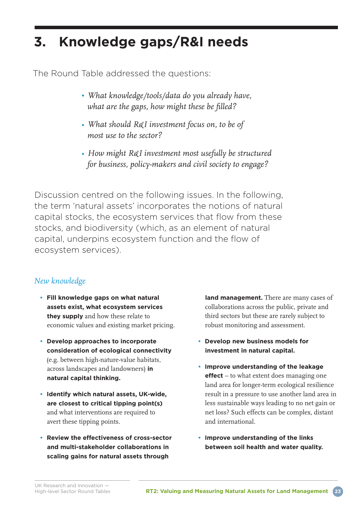## **3. Knowledge gaps/R&I needs**

The Round Table addressed the questions:

- *What knowledge/tools/data do you already have, what are the gaps, how might these be filled?*
- *What should R&I investment focus on, to be of most use to the sector?*
- *How might R&I investment most usefully be structured for business, policy-makers and civil society to engage?*

Discussion centred on the following issues. In the following, the term 'natural assets' incorporates the notions of natural capital stocks, the ecosystem services that flow from these stocks, and biodiversity (which, as an element of natural capital, underpins ecosystem function and the flow of ecosystem services).

## *New knowledge*

- **Fill knowledge gaps on what natural assets exist, what ecosystem services they supply** and how these relate to economic values and existing market pricing.
- **Develop approaches to incorporate consideration of ecological connectivity** (e.g. between high-nature-value habitats, across landscapes and landowners) **in natural capital thinking.**
- **Identify which natural assets, UK-wide, are closest to critical tipping point(s)** and what interventions are required to avert these tipping points.
- **Review the effectiveness of cross-sector and multi-stakeholder collaborations in scaling gains for natural assets through**

**land management.** There are many cases of collaborations across the public, private and third sectors but these are rarely subject to robust monitoring and assessment.

- **Develop new business models for investment in natural capital.**
- **Improve understanding of the leakage effect** – to what extent does managing one land area for longer-term ecological resilience result in a pressure to use another land area in less sustainable ways leading to no net gain or net loss? Such effects can be complex, distant and international.
- **Improve understanding of the links between soil health and water quality.**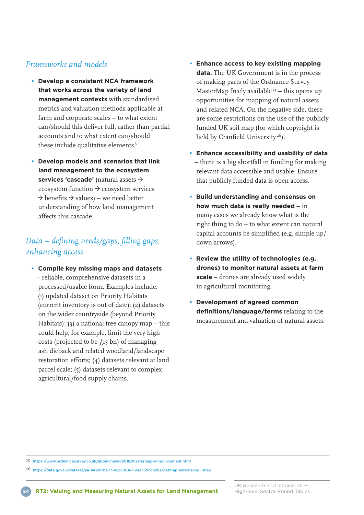## *Frameworks and models*

- **Develop a consistent NCA framework that works across the variety of land management contexts** with standardised metrics and valuation methods applicable at farm and corporate scales – to what extent can/should this deliver full, rather than partial, accounts and to what extent can/should these include qualitative elements?
- **Develop models and scenarios that link land management to the ecosystem services 'cascade'** (natural assets \ ecosystem function  $\rightarrow$  ecosystem services  $\rightarrow$  benefits  $\rightarrow$  values) – we need better understanding of how land management affects this cascade.

## *Data – defining needs/gaps, filling gaps, enhancing access*

**• Compile key missing maps and datasets**  – reliable, comprehensive datasets in a processed/usable form. Examples include: (ı) updated dataset on Priority Habitats (current inventory is out of date); (2) datasets on the wider countryside (beyond Priority Habitats); (3) a national tree canopy map – this could help, for example, limit the very high costs (projected to be  $f_1$ 5 bn) of managing ash dieback and related woodland/landscape restoration efforts; (4) datasets relevant at land parcel scale; (5) datasets relevant to complex agricultural/food supply chains.

- **Enhance access to key existing mapping data.** The UK Government is in the process of making parts of the Ordnance Survey MasterMap freely available<sup>25</sup> – this opens up opportunities for mapping of natural assets and related NCA. On the negative side, there are some restrictions on the use of the publicly funded UK soil map (for which copyright is held by Cranfield University<sup>26</sup>).
- **Enhance accessibility and usability of data** – there is a big shortfall in funding for making relevant data accessible and usable. Ensure that publicly funded data is open access.
- **Build understanding and consensus on how much data is really needed** – in many cases we already know what is the right thing to do – to what extent can natural capital accounts be simplified (e.g. simple up/ down arrows).
- **Review the utility of technologies (e.g. drones) to monitor natural assets at farm scale** – drones are already used widely in agricultural monitoring.
- **Development of agreed common definitions/language/terms** relating to the measurement and valuation of natural assets.

25 <https://www.ordnancesurvey.co.uk/about/news/2018/mastermap-announcement.html>

26 <https://data.gov.uk/dataset/ea1442bf-ba77-42cc-80e7-2ea339ccb28a/natmap-national-soil-map>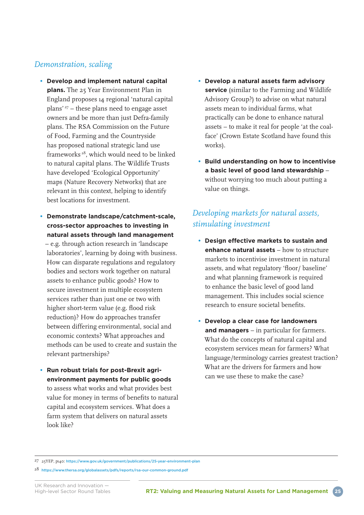## *Demonstration, scaling*

- **Develop and implement natural capital plans.** The 25 Year Environment Plan in England proposes ı4 regional 'natural capital plans' 27 – these plans need to engage asset owners and be more than just Defra-family plans. The RSA Commission on the Future of Food, Farming and the Countryside has proposed national strategic land use frameworks 28, which would need to be linked to natural capital plans. The Wildlife Trusts have developed 'Ecological Opportunity' maps (Nature Recovery Networks) that are relevant in this context, helping to identify best locations for investment.
- **Demonstrate landscape/catchment-scale, cross-sector approaches to investing in natural assets through land management** – e.g. through action research in 'landscape laboratories', learning by doing with business. How can disparate regulations and regulatory bodies and sectors work together on natural assets to enhance public goods? How to secure investment in multiple ecosystem services rather than just one or two with higher short-term value (e.g. flood risk reduction)? How do approaches transfer between differing environmental, social and economic contexts? What approaches and methods can be used to create and sustain the relevant partnerships?
- **Run robust trials for post-Brexit agrienvironment payments for public goods** to assess what works and what provides best value for money in terms of benefits to natural capital and ecosystem services. What does a farm system that delivers on natural assets look like?
- **Develop a natural assets farm advisory service** (similar to the Farming and Wildlife Advisory Group?) to advise on what natural assets mean to individual farms, what practically can be done to enhance natural assets – to make it real for people 'at the coalface' (Crown Estate Scotland have found this works).
- **Build understanding on how to incentivise a basic level of good land stewardship** – without worrying too much about putting a value on things.

## *Developing markets for natural assets, stimulating investment*

- **Design effective markets to sustain and enhance natural assets** – how to structure markets to incentivise investment in natural assets, and what regulatory 'floor/ baseline' and what planning framework is required to enhance the basic level of good land management. This includes social science research to ensure societal benefits.
- **Develop a clear case for landowners and managers** – in particular for farmers. What do the concepts of natural capital and ecosystem services mean for farmers? What language/terminology carries greatest traction? What are the drivers for farmers and how can we use these to make the case?

<sup>27</sup> 25YEP, pı40: <https://www.gov.uk/government/publications/25-year-environment-plan>

<sup>28</sup> <https://www.thersa.org/globalassets/pdfs/reports/rsa-our-common-ground.pdf>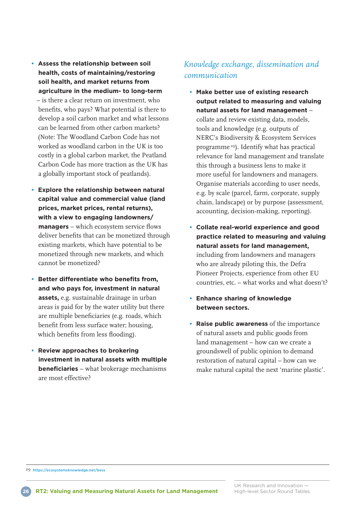- **Assess the relationship between soil health, costs of maintaining/restoring soil health, and market returns from agriculture in the medium- to long-term** – is there a clear return on investment, who benefits, who pays? What potential is there to develop a soil carbon market and what lessons can be learned from other carbon markets? (Note: The Woodland Carbon Code has not worked as woodland carbon in the UK is too costly in a global carbon market, the Peatland Carbon Code has more traction as the UK has a globally important stock of peatlands).
- **Explore the relationship between natural capital value and commercial value (land prices, market prices, rental returns), with a view to engaging landowners/ managers** – which ecosystem service flows deliver benefits that can be monetized through existing markets, which have potential to be monetized through new markets, and which cannot be monetized?
- **Better differentiate who benefits from, and who pays for, investment in natural assets,** e.g. sustainable drainage in urban areas is paid for by the water utility but there are multiple beneficiaries (e.g. roads, which benefit from less surface water; housing, which benefits from less flooding).
- **Review approaches to brokering investment in natural assets with multiple beneficiaries** – what brokerage mechanisms are most effective?

## *Knowledge exchange, dissemination and communication*

- **Make better use of existing research output related to measuring and valuing natural assets for land management** – collate and review existing data, models, tools and knowledge (e.g. outputs of NERC's Biodiversity & Ecosystem Services programme 29). Identify what has practical relevance for land management and translate this through a business lens to make it more useful for landowners and managers. Organise materials according to user needs, e.g. by scale (parcel, farm, corporate, supply chain, landscape) or by purpose (assessment, accounting, decision-making, reporting).
- **Collate real-world experience and good practice related to measuring and valuing natural assets for land management,** including from landowners and managers who are already piloting this, the Defra Pioneer Projects, experience from other EU countries, etc. – what works and what doesn't?
- **Enhance sharing of knowledge between sectors.**
- **Raise public awareness** of the importance of natural assets and public goods from land management – how can we create a groundswell of public opinion to demand restoration of natural capital – how can we make natural capital the next 'marine plastic'.



<sup>29</sup> <https://ecosystemsknowledge.net/bess>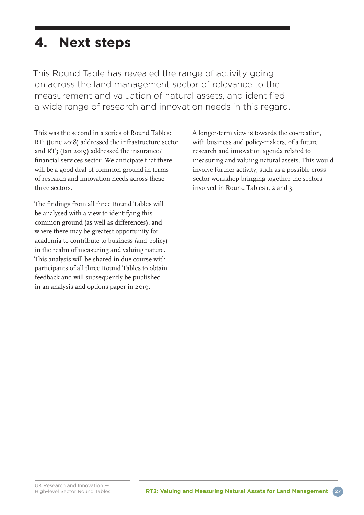## **4. Next steps**

This Round Table has revealed the range of activity going on across the land management sector of relevance to the measurement and valuation of natural assets, and identified a wide range of research and innovation needs in this regard.

This was the second in a series of Round Tables: RTı (June 20ı8) addressed the infrastructure sector and RT3 (Jan 20ı9) addressed the insurance/ financial services sector. We anticipate that there will be a good deal of common ground in terms of research and innovation needs across these three sectors.

The findings from all three Round Tables will be analysed with a view to identifying this common ground (as well as differences), and where there may be greatest opportunity for academia to contribute to business (and policy) in the realm of measuring and valuing nature. This analysis will be shared in due course with participants of all three Round Tables to obtain feedback and will subsequently be published in an analysis and options paper in 20ı9.

A longer-term view is towards the co-creation, with business and policy-makers, of a future research and innovation agenda related to measuring and valuing natural assets. This would involve further activity, such as a possible cross sector workshop bringing together the sectors involved in Round Tables ı, 2 and 3.